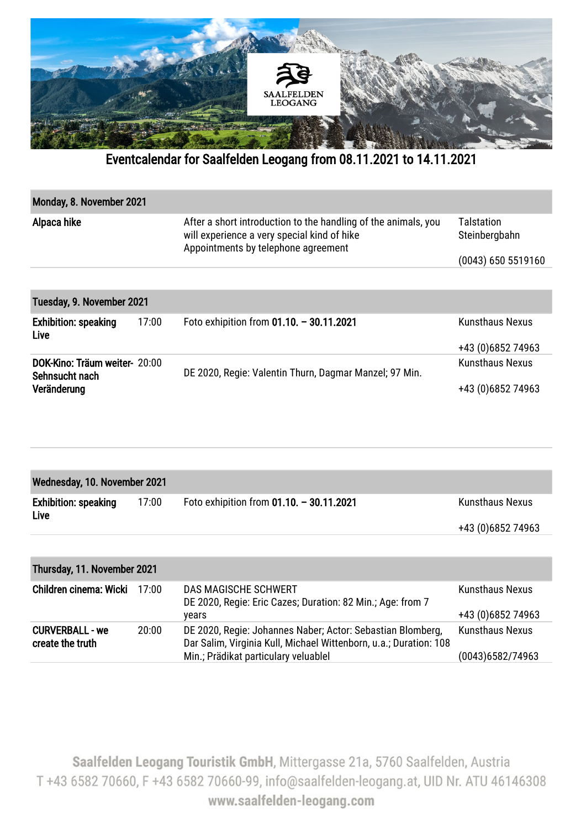

Eventcalendar for Saalfelden Leogang from 08.11.2021 to 14.11.2021

| Monday, 8. November 2021                        |       |                                                                                                                                                      |                             |  |  |  |
|-------------------------------------------------|-------|------------------------------------------------------------------------------------------------------------------------------------------------------|-----------------------------|--|--|--|
| Alpaca hike                                     |       | After a short introduction to the handling of the animals, you<br>will experience a very special kind of hike<br>Appointments by telephone agreement | Talstation<br>Steinbergbahn |  |  |  |
|                                                 |       |                                                                                                                                                      | (0043) 650 5519160          |  |  |  |
|                                                 |       |                                                                                                                                                      |                             |  |  |  |
| Tuesday, 9. November 2021                       |       |                                                                                                                                                      |                             |  |  |  |
| <b>Exhibition: speaking</b><br>Live             | 17:00 | Foto exhipition from $01.10. - 30.11.2021$                                                                                                           | <b>Kunsthaus Nexus</b>      |  |  |  |
|                                                 |       |                                                                                                                                                      | +43 (0) 6852 74963          |  |  |  |
| DOK-Kino: Träum weiter- 20:00<br>Sehnsucht nach |       | DE 2020, Regie: Valentin Thurn, Dagmar Manzel; 97 Min.                                                                                               | <b>Kunsthaus Nexus</b>      |  |  |  |
| Veränderung                                     |       |                                                                                                                                                      | +43 (0) 6852 74963          |  |  |  |

| Wednesday, 10. November 2021               |       |                                            |                                             |  |  |
|--------------------------------------------|-------|--------------------------------------------|---------------------------------------------|--|--|
| <b>Exhibition: speaking</b><br><b>Live</b> | 17:00 | Foto exhipition from $01.10. - 30.11.2021$ | <b>Kunsthaus Nexus</b><br>+43 (0)6852 74963 |  |  |
|                                            |       |                                            |                                             |  |  |

| Thursday, 11. November 2021                |       |                                                                                                                                                                         |                                              |  |  |  |
|--------------------------------------------|-------|-------------------------------------------------------------------------------------------------------------------------------------------------------------------------|----------------------------------------------|--|--|--|
| <b>Children cinema: Wicki</b>              | 17:00 | <b>DAS MAGISCHE SCHWERT</b><br>DE 2020, Regie: Eric Cazes; Duration: 82 Min.; Age: from 7<br>vears                                                                      | <b>Kunsthaus Nexus</b><br>+43 (0) 6852 74963 |  |  |  |
| <b>CURVERBALL - we</b><br>create the truth | 20:00 | DE 2020, Regie: Johannes Naber; Actor: Sebastian Blomberg,<br>Dar Salim, Virginia Kull, Michael Wittenborn, u.a.; Duration: 108<br>Min.; Prädikat particulary veluablel | <b>Kunsthaus Nexus</b><br>(0043)6582/74963   |  |  |  |

Saalfelden Leogang Touristik GmbH, Mittergasse 21a, 5760 Saalfelden, Austria T +43 6582 70660, F +43 6582 70660-99, info@saalfelden-leogang.at, UID Nr. ATU 46146308 www.saalfelden-leogang.com